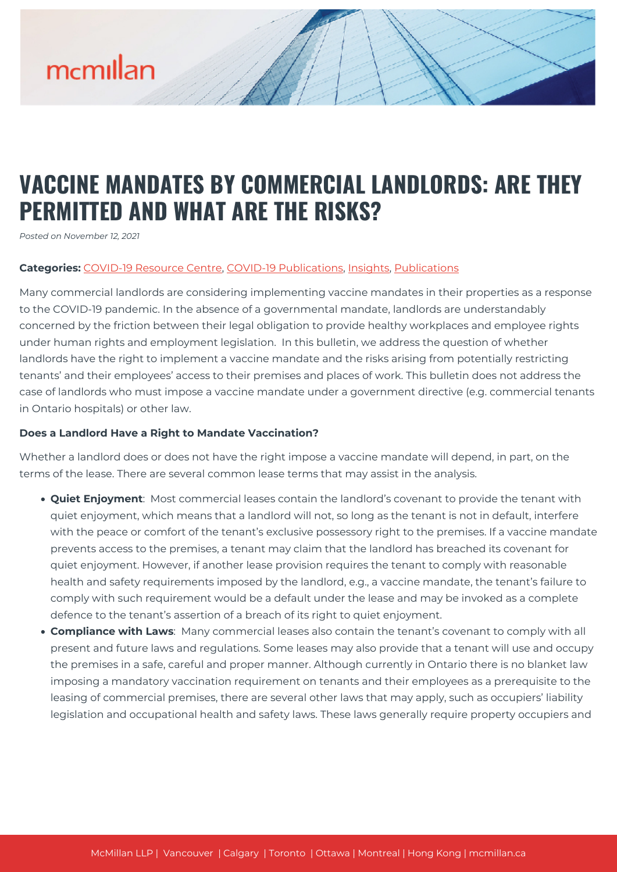## mcmillan

### **VACCINE MANDATES BY COMMERCIAL LANDLORDS: ARE THEY PERMITTED AND WHAT ARE THE RISKS?**

*Posted on November 12, 2021*

#### **Categories:** [COVID-19 Resource Centre](https://mcmillan.ca/covid-19-resource-centre/), [COVID-19 Publications](https://mcmillan.ca/covid-19-resource-centre/covid-19-publications/), [Insights,](https://mcmillan.ca/insights/) [Publications](https://mcmillan.ca/insights/publications/)

Many commercial landlords are considering implementing vaccine mandates in their properties as a response to the COVID-19 pandemic. In the absence of a governmental mandate, landlords are understandably concerned by the friction between their legal obligation to provide healthy workplaces and employee rights under human rights and employment legislation. In this bulletin, we address the question of whether landlords have the right to implement a vaccine mandate and the risks arising from potentially restricting tenants' and their employees' access to their premises and places of work. This bulletin does not address the case of landlords who must impose a vaccine mandate under a government directive (e.g. commercial tenants in Ontario hospitals) or other law.

#### **Does a Landlord Have a Right to Mandate Vaccination?**

Whether a landlord does or does not have the right impose a vaccine mandate will depend, in part, on the terms of the lease. There are several common lease terms that may assist in the analysis.

- **Quiet Enjoyment**: Most commercial leases contain the landlord's covenant to provide the tenant with quiet enjoyment, which means that a landlord will not, so long as the tenant is not in default, interfere with the peace or comfort of the tenant's exclusive possessory right to the premises. If a vaccine mandate prevents access to the premises, a tenant may claim that the landlord has breached its covenant for quiet enjoyment. However, if another lease provision requires the tenant to comply with reasonable health and safety requirements imposed by the landlord, e.g., a vaccine mandate, the tenant's failure to comply with such requirement would be a default under the lease and may be invoked as a complete defence to the tenant's assertion of a breach of its right to quiet enjoyment.
- **Compliance with Laws**: Many commercial leases also contain the tenant's covenant to comply with all present and future laws and regulations. Some leases may also provide that a tenant will use and occupy the premises in a safe, careful and proper manner. Although currently in Ontario there is no blanket law imposing a mandatory vaccination requirement on tenants and their employees as a prerequisite to the leasing of commercial premises, there are several other laws that may apply, such as occupiers' liability legislation and occupational health and safety laws. These laws generally require property occupiers and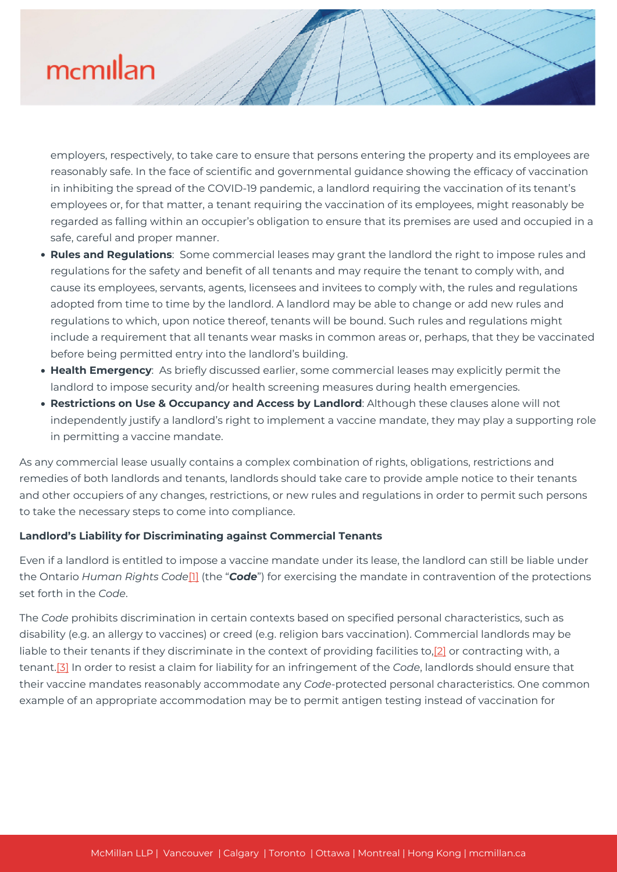### mcmillan

employers, respectively, to take care to ensure that persons entering the property and its employees are reasonably safe. In the face of scientific and governmental guidance showing the efficacy of vaccination in inhibiting the spread of the COVID-19 pandemic, a landlord requiring the vaccination of its tenant's employees or, for that matter, a tenant requiring the vaccination of its employees, might reasonably be regarded as falling within an occupier's obligation to ensure that its premises are used and occupied in a safe, careful and proper manner.

- **Rules and Regulations**: Some commercial leases may grant the landlord the right to impose rules and regulations for the safety and benefit of all tenants and may require the tenant to comply with, and cause its employees, servants, agents, licensees and invitees to comply with, the rules and regulations adopted from time to time by the landlord. A landlord may be able to change or add new rules and regulations to which, upon notice thereof, tenants will be bound. Such rules and regulations might include a requirement that all tenants wear masks in common areas or, perhaps, that they be vaccinated before being permitted entry into the landlord's building.
- **Health Emergency**: As briefly discussed earlier, some commercial leases may explicitly permit the landlord to impose security and/or health screening measures during health emergencies.
- **Restrictions on Use & Occupancy and Access by Landlord**: Although these clauses alone will not independently justify a landlord's right to implement a vaccine mandate, they may play a supporting role in permitting a vaccine mandate.

As any commercial lease usually contains a complex combination of rights, obligations, restrictions and remedies of both landlords and tenants, landlords should take care to provide ample notice to their tenants and other occupiers of any changes, restrictions, or new rules and regulations in order to permit such persons to take the necessary steps to come into compliance.

#### **Landlord's Liability for Discriminating against Commercial Tenants**

Even if a landlord is entitled to impose a vaccine mandate under its lease, the landlord can still be liable under the Ontario *Human Rights Code*[\[1\]](#page--1-0) (the "*Code*") for exercising the mandate in contravention of the protections set forth in the *Code*.

The *Code* prohibits discrimination in certain contexts based on specified personal characteristics, such as disability (e.g. an allergy to vaccines) or creed (e.g. religion bars vaccination). Commercial landlords may be liable to their tenants if they discriminate in the context of providing facilities to,[\[2\]](#page--1-0) or contracting with, a tenant[.\[3\]](#page--1-0) In order to resist a claim for liability for an infringement of the *Code*, landlords should ensure that their vaccine mandates reasonably accommodate any *Code*-protected personal characteristics. One common example of an appropriate accommodation may be to permit antigen testing instead of vaccination for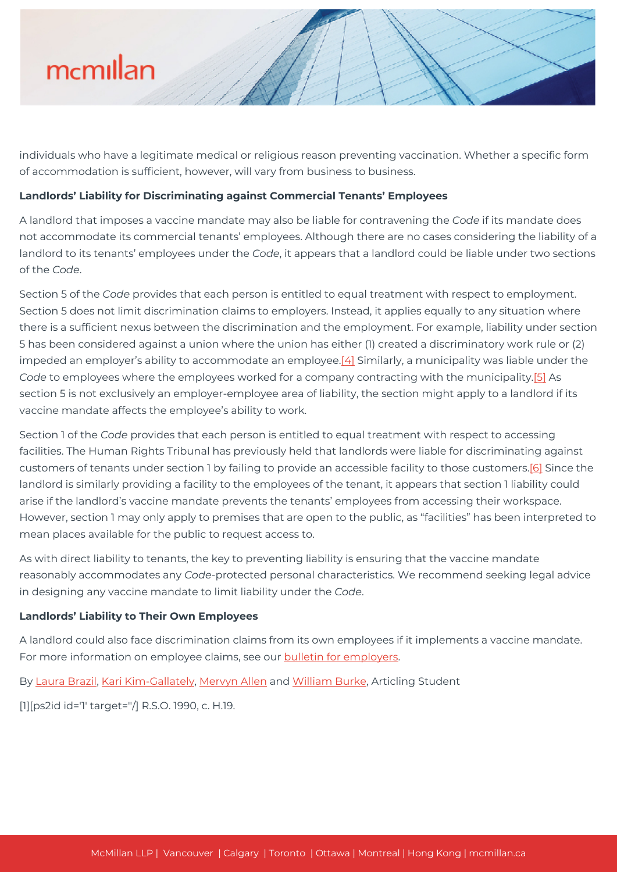# mcmillan

individuals who have a legitimate medical or religious reason preventing vaccination. Whether a specific form of accommodation is sufficient, however, will vary from business to business.

#### **Landlords' Liability for Discriminating against Commercial Tenants' Employees**

A landlord that imposes a vaccine mandate may also be liable for contravening the *Code* if its mandate does not accommodate its commercial tenants' employees. Although there are no cases considering the liability of a landlord to its tenants' employees under the *Code*, it appears that a landlord could be liable under two sections of the *Code*.

Section 5 of the *Code* provides that each person is entitled to equal treatment with respect to employment. Section 5 does not limit discrimination claims to employers. Instead, it applies equally to any situation where there is a sufficient nexus between the discrimination and the employment. For example, liability under section 5 has been considered against a union where the union has either (1) created a discriminatory work rule or (2) impeded an employer's ability to accommodate an employee[.\[4\]](#page--1-0) Similarly, a municipality was liable under the *Code* to employees where the employees worked for a company contracting with the municipality.[\[5\]](#page--1-0) As section 5 is not exclusively an employer-employee area of liability, the section might apply to a landlord if its vaccine mandate affects the employee's ability to work.

Section 1 of the *Code* provides that each person is entitled to equal treatment with respect to accessing facilities. The Human Rights Tribunal has previously held that landlords were liable for discriminating against customers of tenants under section 1 by failing to provide an accessible facility to those customers[.\[6\]](#page--1-0) Since the landlord is similarly providing a facility to the employees of the tenant, it appears that section 1 liability could arise if the landlord's vaccine mandate prevents the tenants' employees from accessing their workspace. However, section 1 may only apply to premises that are open to the public, as "facilities" has been interpreted to mean places available for the public to request access to.

As with direct liability to tenants, the key to preventing liability is ensuring that the vaccine mandate reasonably accommodates any *Code*-protected personal characteristics. We recommend seeking legal advice in designing any vaccine mandate to limit liability under the *Code*.

#### **Landlords' Liability to Their Own Employees**

A landlord could also face discrimination claims from its own employees if it implements a vaccine mandate. For more information on employee claims, see our **bulletin for employers**.

By [Laura Brazil](https://mcmillan.ca/people/laura-brazil/), [Kari Kim-Gallately,](https://mcmillan.ca/people/kari-kim-gallately/) [Mervyn Allen](https://mcmillan.ca/people/mervyn-allen/) and [William Burke,](https://mcmillan.ca/people/william-burke/) Articling Student

[1][ps2id id='1' target=''/] R.S.O. 1990, c. H.19.